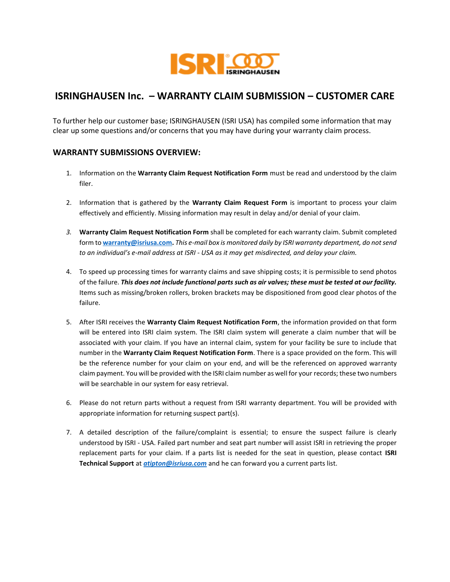

# **ISRINGHAUSEN Inc. – WARRANTY CLAIM SUBMISSION – CUSTOMER CARE**

To further help our customer base; ISRINGHAUSEN (ISRI USA) has compiled some information that may clear up some questions and/or concerns that you may have during your warranty claim process.

## **WARRANTY SUBMISSIONS OVERVIEW:**

- 1. Information on the **Warranty Claim Request Notification Form** must be read and understood by the claim filer.
- 2. Information that is gathered by the **Warranty Claim Request Form** is important to process your claim effectively and efficiently. Missing information may result in delay and/or denial of your claim.
- *3.* **Warranty Claim Request Notification Form** shall be completed for each warranty claim. Submit completed form to **[warranty@isriusa.com.](mailto:warranty@isriusa.com)** *This e-mail box is monitored daily by ISRI warranty department, do not send to an individual's e-mail address at ISRI - USA as it may get misdirected, and delay your claim.*
- 4. To speed up processing times for warranty claims and save shipping costs; it is permissible to send photos of the failure. *This does not include functional parts such as air valves; these must be tested at our facility.* Items such as missing/broken rollers, broken brackets may be dispositioned from good clear photos of the failure.
- 5. After ISRI receives the **Warranty Claim Request Notification Form**, the information provided on that form will be entered into ISRI claim system. The ISRI claim system will generate a claim number that will be associated with your claim. If you have an internal claim, system for your facility be sure to include that number in the **Warranty Claim Request Notification Form**. There is a space provided on the form. This will be the reference number for your claim on your end, and will be the referenced on approved warranty claim payment. You will be provided with the ISRI claim number as well for your records; these two numbers will be searchable in our system for easy retrieval.
- 6. Please do not return parts without a request from ISRI warranty department. You will be provided with appropriate information for returning suspect part(s).
- 7. A detailed description of the failure/complaint is essential; to ensure the suspect failure is clearly understood by ISRI - USA. Failed part number and seat part number will assist ISRI in retrieving the proper replacement parts for your claim. If a parts list is needed for the seat in question, please contact **ISRI Technical Support** at *[atipton@isriusa.com](mailto:atipton@isriusa.com)* and he can forward you a current parts list.